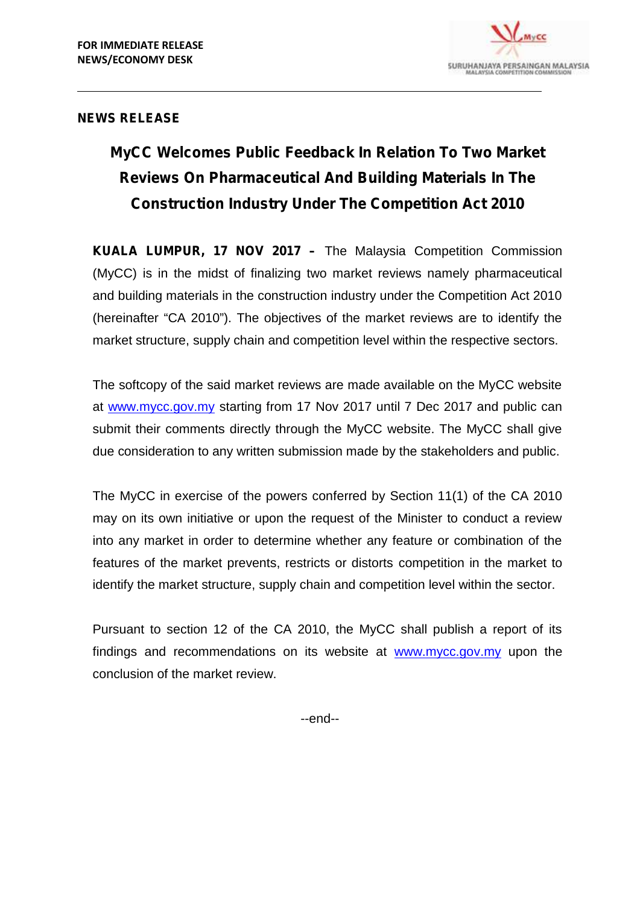

## **NEWS RELEASE**

# **MyCC Welcomes Public Feedback In Relation To Two Market Reviews On Pharmaceutical And Building Materials In The Construction Industry Under The Competition Act 2010**

**KUALA LUMPUR, 17 NOV 2017 –** The Malaysia Competition Commission (MyCC) is in the midst of finalizing two market reviews namely pharmaceutical and building materials in the construction industry under the Competition Act 2010 (hereinafter "CA 2010"). The objectives of the market reviews are to identify the market structure, supply chain and competition level within the respective sectors.

The softcopy of the said market reviews are made available on the MyCC website at www.mycc.gov.my starting from 17 Nov 2017 until 7 Dec 2017 and public can submit their comments directly through the MyCC website. The MyCC shall give due consideration to any written submission made by the stakeholders and public.

The MyCC in exercise of the powers conferred by Section 11(1) of the CA 2010 may on its own initiative or upon the request of the Minister to conduct a review into any market in order to determine whether any feature or combination of the features of the market prevents, restricts or distorts competition in the market to identify the market structure, supply chain and competition level within the sector.

Pursuant to section 12 of the CA 2010, the MyCC shall publish a report of its findings and recommendations on its website at www.mycc.gov.my upon the conclusion of the market review.

--end--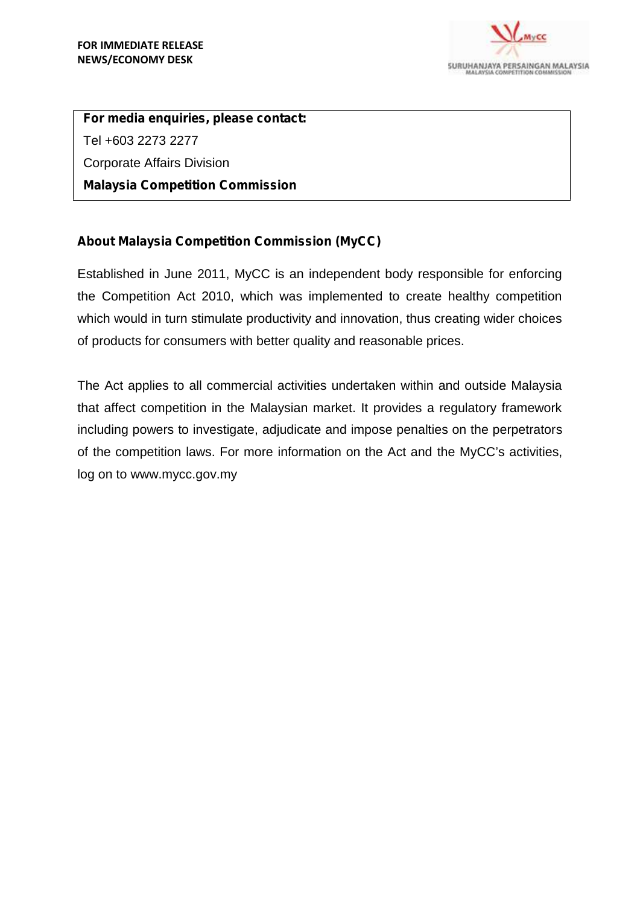

**For media enquiries, please contact:** Tel +603 2273 2277 Corporate Affairs Division **Malaysia Competition Commission**

## **About Malaysia Competition Commission (MyCC)**

Established in June 2011, MyCC is an independent body responsible for enforcing the Competition Act 2010, which was implemented to create healthy competition which would in turn stimulate productivity and innovation, thus creating wider choices of products for consumers with better quality and reasonable prices.

The Act applies to all commercial activities undertaken within and outside Malaysia that affect competition in the Malaysian market. It provides a regulatory framework including powers to investigate, adjudicate and impose penalties on the perpetrators of the competition laws. For more information on the Act and the MyCC's activities, log on to www.mycc.gov.my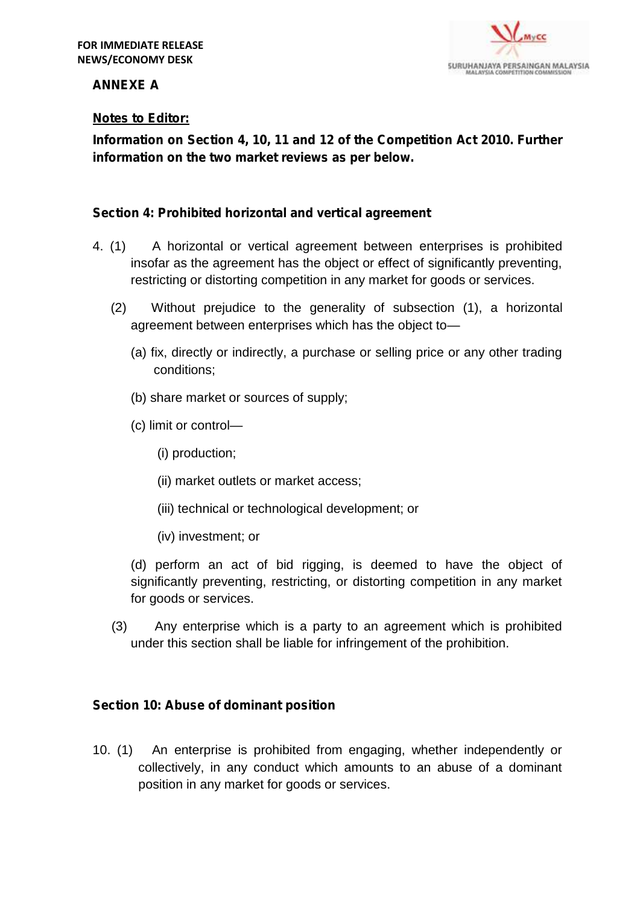

## **ANNEXE A**

## **Notes to Editor:**

**Information on Section 4, 10, 11 and 12 of the Competition Act 2010. Further information on the two market reviews as per below.**

## *Section 4: Prohibited horizontal and vertical agreement*

- 4. (1) A horizontal or vertical agreement between enterprises is prohibited insofar as the agreement has the object or effect of significantly preventing, restricting or distorting competition in any market for goods or services.
	- (2) Without prejudice to the generality of subsection (1), a horizontal agreement between enterprises which has the object to—
		- (a) fix, directly or indirectly, a purchase or selling price or any other trading conditions;
		- (b) share market or sources of supply;
		- (c) limit or control—
			- (i) production;
			- (ii) market outlets or market access;
			- (iii) technical or technological development; or
			- (iv) investment; or

(d) perform an act of bid rigging, is deemed to have the object of significantly preventing, restricting, or distorting competition in any market for goods or services.

(3) Any enterprise which is a party to an agreement which is prohibited under this section shall be liable for infringement of the prohibition.

#### *Section 10: Abuse of dominant position*

10. (1) An enterprise is prohibited from engaging, whether independently or collectively, in any conduct which amounts to an abuse of a dominant position in any market for goods or services.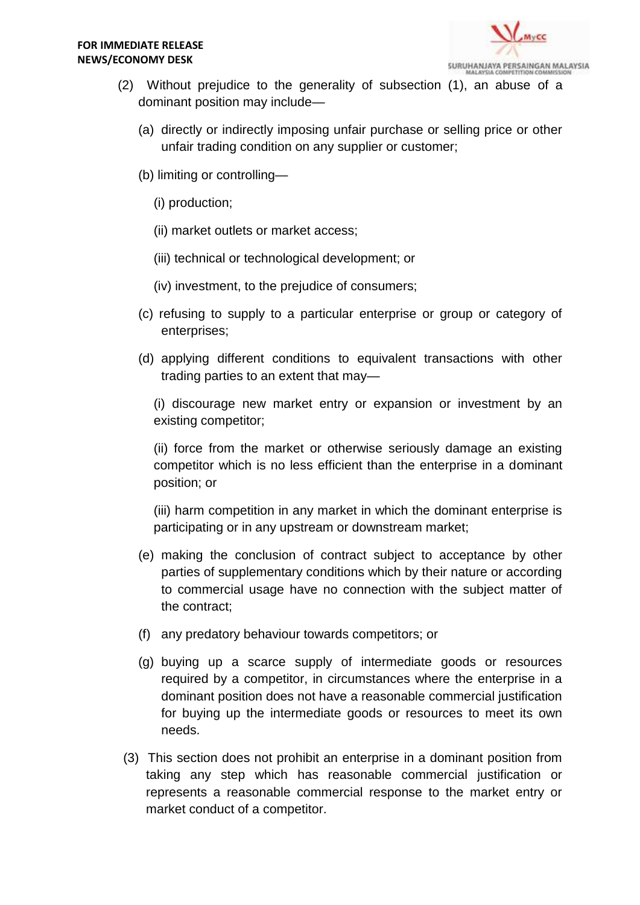

- (2) Without prejudice to the generality of subsection (1), an abuse of a dominant position may include—
	- (a) directly or indirectly imposing unfair purchase or selling price or other unfair trading condition on any supplier or customer;
	- (b) limiting or controlling—
		- (i) production;
		- (ii) market outlets or market access;
		- (iii) technical or technological development; or
		- (iv) investment, to the prejudice of consumers;
	- (c) refusing to supply to a particular enterprise or group or category of enterprises;
	- (d) applying different conditions to equivalent transactions with other trading parties to an extent that may—

(i) discourage new market entry or expansion or investment by an existing competitor;

(ii) force from the market or otherwise seriously damage an existing competitor which is no less efficient than the enterprise in a dominant position; or

(iii) harm competition in any market in which the dominant enterprise is participating or in any upstream or downstream market;

- (e) making the conclusion of contract subject to acceptance by other parties of supplementary conditions which by their nature or according to commercial usage have no connection with the subject matter of the contract;
- (f) any predatory behaviour towards competitors; or
- (g) buying up a scarce supply of intermediate goods or resources required by a competitor, in circumstances where the enterprise in a dominant position does not have a reasonable commercial justification for buying up the intermediate goods or resources to meet its own needs.
- (3) This section does not prohibit an enterprise in a dominant position from taking any step which has reasonable commercial justification or represents a reasonable commercial response to the market entry or market conduct of a competitor.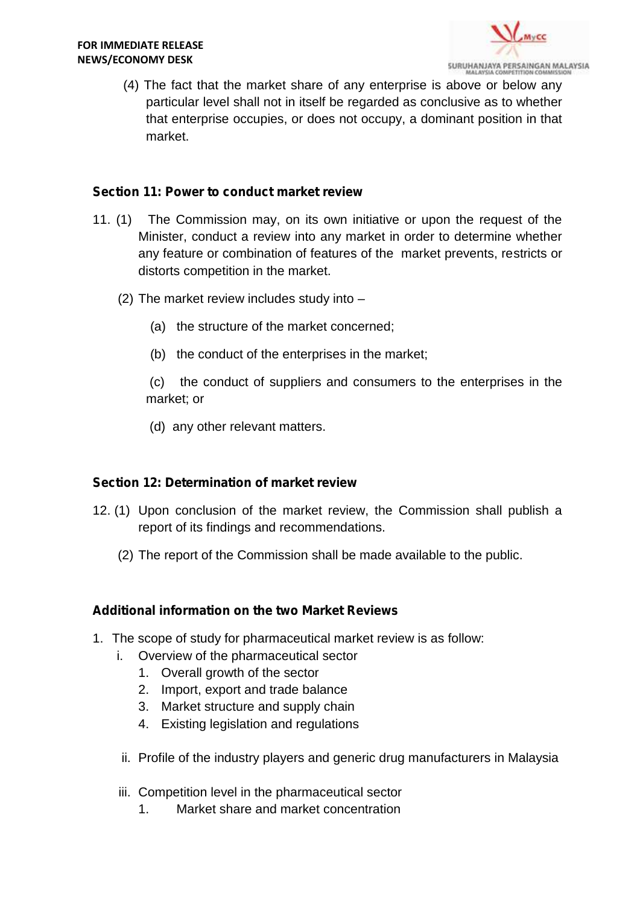

(4) The fact that the market share of any enterprise is above or below any particular level shall not in itself be regarded as conclusive as to whether that enterprise occupies, or does not occupy, a dominant position in that market.

#### *Section 11: Power to conduct market review*

- 11. (1) The Commission may, on its own initiative or upon the request of the Minister, conduct a review into any market in order to determine whether any feature or combination of features of the market prevents, restricts or distorts competition in the market.
	- (2) The market review includes study into
		- (a) the structure of the market concerned;
		- (b) the conduct of the enterprises in the market;

(c) the conduct of suppliers and consumers to the enterprises in the market; or

(d) any other relevant matters.

#### *Section 12: Determination of market review*

- 12. (1) Upon conclusion of the market review, the Commission shall publish a report of its findings and recommendations.
	- (2) The report of the Commission shall be made available to the public.

#### **Additional information on the two Market Reviews**

- 1. The scope of study for pharmaceutical market review is as follow:
	- i. Overview of the pharmaceutical sector
		- 1. Overall growth of the sector
		- 2. Import, export and trade balance
		- 3. Market structure and supply chain
		- 4. Existing legislation and regulations
	- ii. Profile of the industry players and generic drug manufacturers in Malaysia
	- iii. Competition level in the pharmaceutical sector
		- 1. Market share and market concentration